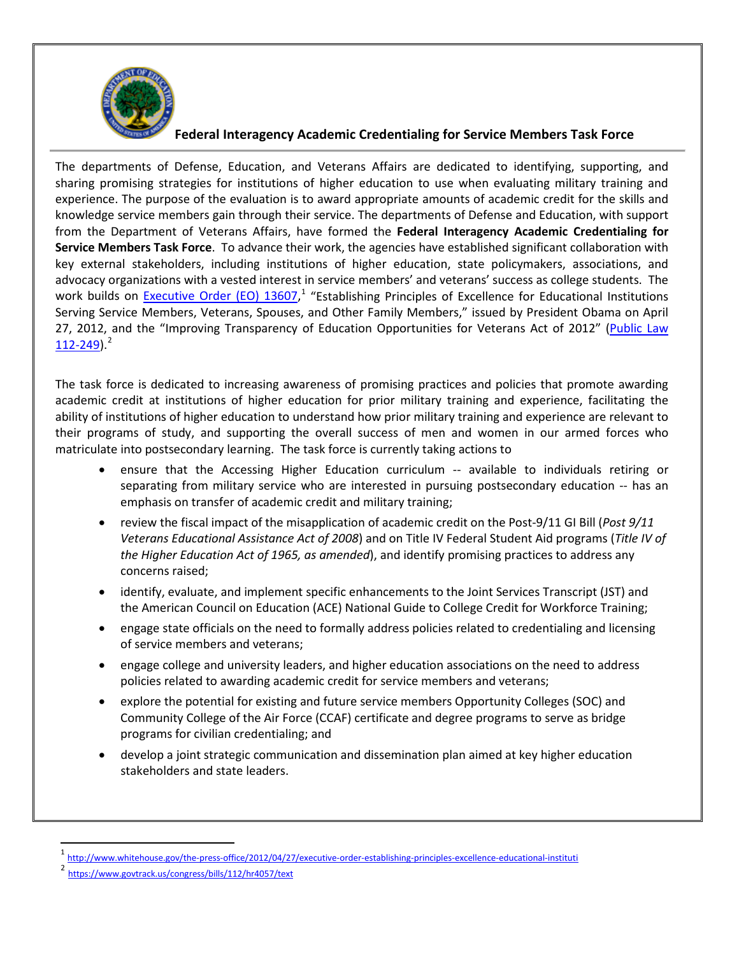

## **Federal Interagency Academic Credentialing for Service Members Task Force**

The departments of Defense, Education, and Veterans Affairs are dedicated to identifying, supporting, and sharing promising strategies for institutions of higher education to use when evaluating military training and experience. The purpose of the evaluation is to award appropriate amounts of academic credit for the skills and knowledge service members gain through their service. The departments of Defense and Education, with support from the Department of Veterans Affairs, have formed the **Federal Interagency Academic Credentialing for Service Members Task Force**. To advance their work, the agencies have established significant collaboration with key external stakeholders, including institutions of higher education, state policymakers, associations, and advocacy organizations with a vested interest in service members' and veterans' success as college students. The work builds on *Executive Order (EO) [1](#page-0-0)3607*,<sup>1</sup> "Establishing Principles of Excellence for Educational Institutions Serving Service Members, Veterans, Spouses, and Other Family Members," issued by President Obama on April 27, 2012, and the "Improving Transparency of Education Opportunities for Veterans Act of 2012" (Public Law [112-249\)](https://www.govtrack.us/congress/bills/112/hr4057/text). [2](#page-0-1)

The task force is dedicated to increasing awareness of promising practices and policies that promote awarding academic credit at institutions of higher education for prior military training and experience, facilitating the ability of institutions of higher education to understand how prior military training and experience are relevant to their programs of study, and supporting the overall success of men and women in our armed forces who matriculate into postsecondary learning. The task force is currently taking actions to

- ensure that the Accessing Higher Education curriculum -- available to individuals retiring or separating from military service who are interested in pursuing postsecondary education -- has an emphasis on transfer of academic credit and military training;
- review the fiscal impact of the misapplication of academic credit on the Post-9/11 GI Bill (*Post 9/11 Veterans Educational Assistance Act of 2008*) and on Title IV Federal Student Aid programs (*Title IV of the Higher Education Act of 1965, as amended*), and identify promising practices to address any concerns raised;
- identify, evaluate, and implement specific enhancements to the Joint Services Transcript (JST) and the American Council on Education (ACE) National Guide to College Credit for Workforce Training;
- engage state officials on the need to formally address policies related to credentialing and licensing of service members and veterans;
- engage college and university leaders, and higher education associations on the need to address policies related to awarding academic credit for service members and veterans;
- explore the potential for existing and future service members Opportunity Colleges (SOC) and Community College of the Air Force (CCAF) certificate and degree programs to serve as bridge programs for civilian credentialing; and
- develop a joint strategic communication and dissemination plan aimed at key higher education stakeholders and state leaders.

<span id="page-0-1"></span><span id="page-0-0"></span> <sup>1</sup> <http://www.whitehouse.gov/the-press-office/2012/04/27/executive-order-establishing-principles-excellence-educational-instituti>

<sup>2</sup> <https://www.govtrack.us/congress/bills/112/hr4057/text>